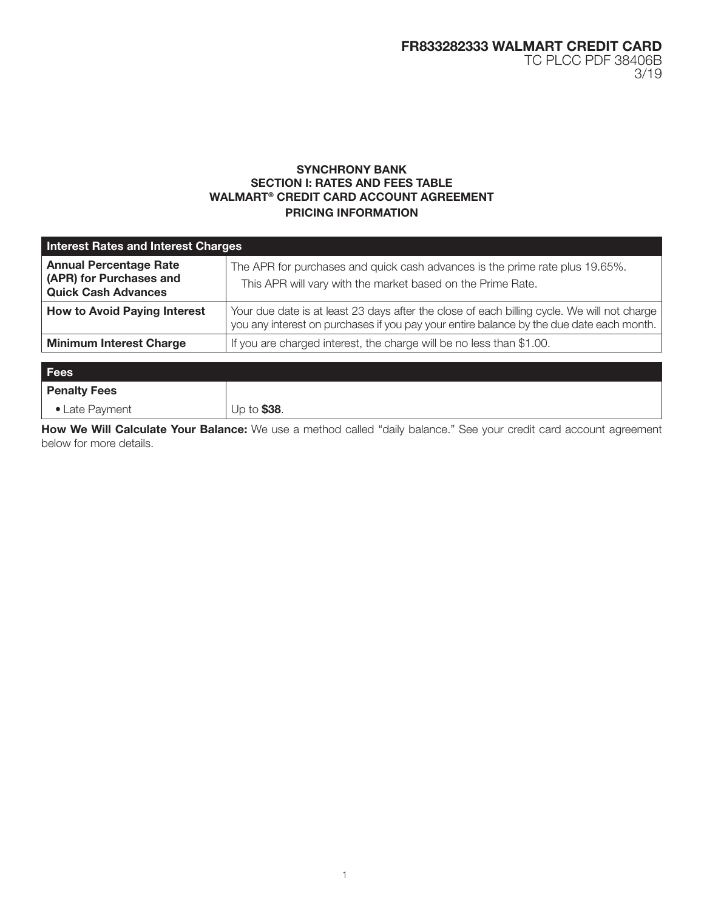# SYNCHRONY BANK SECTION I: RATES AND FEES TABLE WALMART® CREDIT CARD ACCOUNT AGREEMENT PRICING INFORMATION

| <b>Interest Rates and Interest Charges</b>                                             |                                                                                                                                                                                         |  |
|----------------------------------------------------------------------------------------|-----------------------------------------------------------------------------------------------------------------------------------------------------------------------------------------|--|
| <b>Annual Percentage Rate</b><br>(APR) for Purchases and<br><b>Quick Cash Advances</b> | The APR for purchases and quick cash advances is the prime rate plus 19.65%.<br>This APR will vary with the market based on the Prime Rate.                                             |  |
| <b>How to Avoid Paying Interest</b>                                                    | Your due date is at least 23 days after the close of each billing cycle. We will not charge<br>you any interest on purchases if you pay your entire balance by the due date each month. |  |
| <b>Minimum Interest Charge</b>                                                         | If you are charged interest, the charge will be no less than \$1.00.                                                                                                                    |  |
| Fees                                                                                   |                                                                                                                                                                                         |  |
| <b>Penalty Fees</b>                                                                    |                                                                                                                                                                                         |  |

• Late Payment  $\vert \cup p$  to \$38.

How We Will Calculate Your Balance: We use a method called "daily balance." See your credit card account agreement below for more details.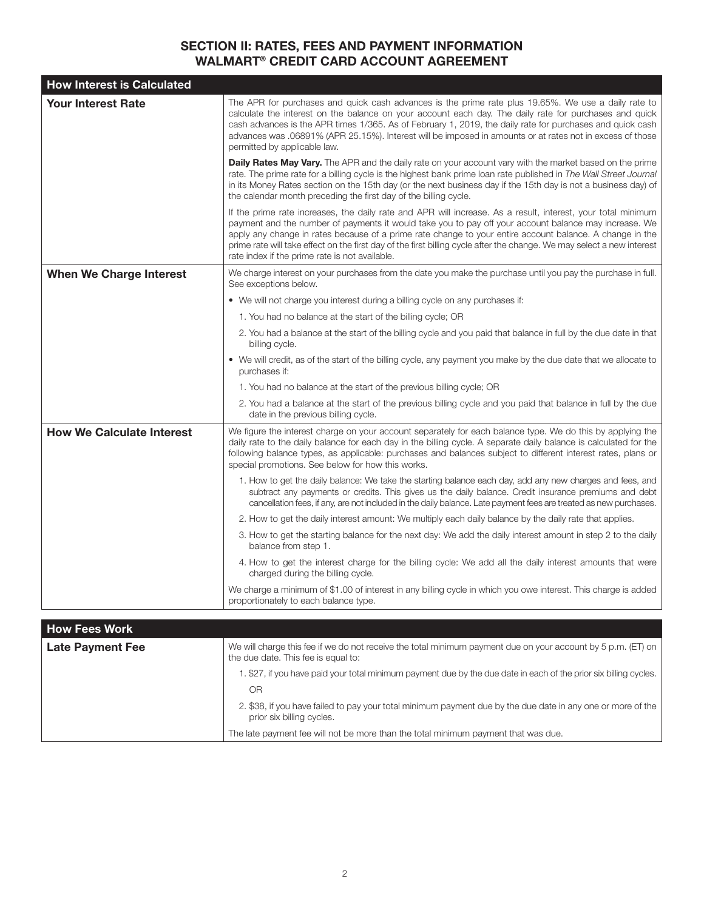# SECTION II: RATES, FEES AND PAYMENT INFORMATION WALMART® CREDIT CARD ACCOUNT AGREEMENT

| <b>How Interest is Calculated</b> |                                                                                                                                                                                                                                                                                                                                                                                                                                                                                                               |
|-----------------------------------|---------------------------------------------------------------------------------------------------------------------------------------------------------------------------------------------------------------------------------------------------------------------------------------------------------------------------------------------------------------------------------------------------------------------------------------------------------------------------------------------------------------|
| <b>Your Interest Rate</b>         | The APR for purchases and quick cash advances is the prime rate plus 19.65%. We use a daily rate to<br>calculate the interest on the balance on your account each day. The daily rate for purchases and quick<br>cash advances is the APR times 1/365. As of February 1, 2019, the daily rate for purchases and quick cash<br>advances was .06891% (APR 25.15%). Interest will be imposed in amounts or at rates not in excess of those<br>permitted by applicable law.                                       |
|                                   | <b>Daily Rates May Vary.</b> The APR and the daily rate on your account vary with the market based on the prime<br>rate. The prime rate for a billing cycle is the highest bank prime loan rate published in The Wall Street Journal<br>in its Money Rates section on the 15th day (or the next business day if the 15th day is not a business day) of<br>the calendar month preceding the first day of the billing cycle.                                                                                    |
|                                   | If the prime rate increases, the daily rate and APR will increase. As a result, interest, your total minimum<br>payment and the number of payments it would take you to pay off your account balance may increase. We<br>apply any change in rates because of a prime rate change to your entire account balance. A change in the<br>prime rate will take effect on the first day of the first billing cycle after the change. We may select a new interest<br>rate index if the prime rate is not available. |
| <b>When We Charge Interest</b>    | We charge interest on your purchases from the date you make the purchase until you pay the purchase in full.<br>See exceptions below.                                                                                                                                                                                                                                                                                                                                                                         |
|                                   | • We will not charge you interest during a billing cycle on any purchases if:                                                                                                                                                                                                                                                                                                                                                                                                                                 |
|                                   | 1. You had no balance at the start of the billing cycle; OR                                                                                                                                                                                                                                                                                                                                                                                                                                                   |
|                                   | 2. You had a balance at the start of the billing cycle and you paid that balance in full by the due date in that<br>billing cycle.                                                                                                                                                                                                                                                                                                                                                                            |
|                                   | • We will credit, as of the start of the billing cycle, any payment you make by the due date that we allocate to<br>purchases if:                                                                                                                                                                                                                                                                                                                                                                             |
|                                   | 1. You had no balance at the start of the previous billing cycle; OR                                                                                                                                                                                                                                                                                                                                                                                                                                          |
|                                   | 2. You had a balance at the start of the previous billing cycle and you paid that balance in full by the due<br>date in the previous billing cycle.                                                                                                                                                                                                                                                                                                                                                           |
| <b>How We Calculate Interest</b>  | We figure the interest charge on your account separately for each balance type. We do this by applying the<br>daily rate to the daily balance for each day in the billing cycle. A separate daily balance is calculated for the<br>following balance types, as applicable: purchases and balances subject to different interest rates, plans or<br>special promotions. See below for how this works.                                                                                                          |
|                                   | 1. How to get the daily balance: We take the starting balance each day, add any new charges and fees, and<br>subtract any payments or credits. This gives us the daily balance. Credit insurance premiums and debt<br>cancellation fees, if any, are not included in the daily balance. Late payment fees are treated as new purchases.                                                                                                                                                                       |
|                                   | 2. How to get the daily interest amount: We multiply each daily balance by the daily rate that applies.                                                                                                                                                                                                                                                                                                                                                                                                       |
|                                   | 3. How to get the starting balance for the next day: We add the daily interest amount in step 2 to the daily<br>balance from step 1.                                                                                                                                                                                                                                                                                                                                                                          |
|                                   | 4. How to get the interest charge for the billing cycle: We add all the daily interest amounts that were<br>charged during the billing cycle.                                                                                                                                                                                                                                                                                                                                                                 |
|                                   | We charge a minimum of \$1.00 of interest in any billing cycle in which you owe interest. This charge is added<br>proportionately to each balance type.                                                                                                                                                                                                                                                                                                                                                       |
| <b>How Fees Work</b>              |                                                                                                                                                                                                                                                                                                                                                                                                                                                                                                               |
| <b>Late Payment Fee</b>           | We will charge this fee if we do not receive the total minimum payment due on your account by 5 p.m. (ET) on<br>the due date. This fee is equal to:                                                                                                                                                                                                                                                                                                                                                           |
|                                   | 1. \$27, if you have paid your total minimum payment due by the due date in each of the prior six billing cycles.                                                                                                                                                                                                                                                                                                                                                                                             |

OR 2. \$38, if you have failed to pay your total minimum payment due by the due date in any one or more of the prior six billing cycles.

The late payment fee will not be more than the total minimum payment that was due.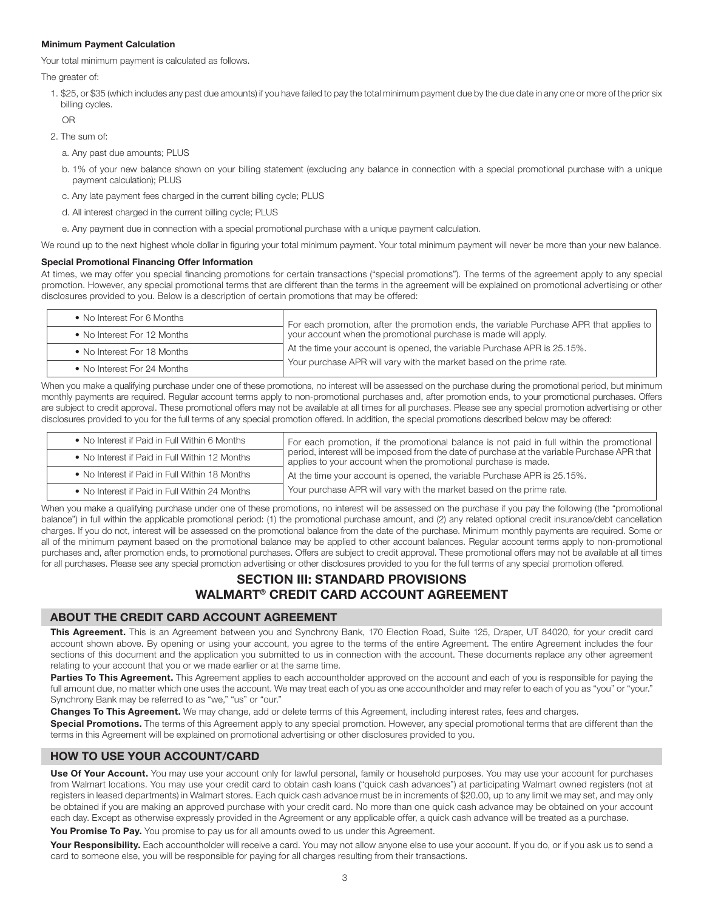### Minimum Payment Calculation

Your total minimum payment is calculated as follows.

The greater of:

1. \$25, or \$35 (which includes any past due amounts) if you have failed to pay the total minimum payment due by the due date in any one or more of the prior six billing cycles.

OR

- 2. The sum of:
	- a. Any past due amounts; PLUS
	- b. 1% of your new balance shown on your billing statement (excluding any balance in connection with a special promotional purchase with a unique payment calculation); PLUS
	- c. Any late payment fees charged in the current billing cycle; PLUS
	- d. All interest charged in the current billing cycle; PLUS
	- e. Any payment due in connection with a special promotional purchase with a unique payment calculation.

We round up to the next highest whole dollar in figuring your total minimum payment. Your total minimum payment will never be more than your new balance.

#### Special Promotional Financing Offer Information

At times, we may offer you special financing promotions for certain transactions ("special promotions"). The terms of the agreement apply to any special promotion. However, any special promotional terms that are different than the terms in the agreement will be explained on promotional advertising or other disclosures provided to you. Below is a description of certain promotions that may be offered:

| • No Interest For 6 Months  | For each promotion, after the promotion ends, the variable Purchase APR that applies to your account when the promotional purchase is made will apply.<br>At the time your account is opened, the variable Purchase APR is 25.15%.<br>Your purchase APR will vary with the market based on the prime rate. |
|-----------------------------|------------------------------------------------------------------------------------------------------------------------------------------------------------------------------------------------------------------------------------------------------------------------------------------------------------|
| • No Interest For 12 Months |                                                                                                                                                                                                                                                                                                            |
| • No Interest For 18 Months |                                                                                                                                                                                                                                                                                                            |
| • No Interest For 24 Months |                                                                                                                                                                                                                                                                                                            |

When you make a qualifying purchase under one of these promotions, no interest will be assessed on the purchase during the promotional period, but minimum monthly payments are required. Regular account terms apply to non-promotional purchases and, after promotion ends, to your promotional purchases. Offers are subject to credit approval. These promotional offers may not be available at all times for all purchases. Please see any special promotion advertising or other disclosures provided to you for the full terms of any special promotion offered. In addition, the special promotions described below may be offered:

| • No Interest if Paid in Full Within 6 Months  | For each promotion, if the promotional balance is not paid in full within the promotional<br>period, interest will be imposed from the date of purchase at the variable Purchase APR that<br>applies to your account when the promotional purchase is made. |
|------------------------------------------------|-------------------------------------------------------------------------------------------------------------------------------------------------------------------------------------------------------------------------------------------------------------|
| • No Interest if Paid in Full Within 12 Months |                                                                                                                                                                                                                                                             |
| • No Interest if Paid in Full Within 18 Months | At the time your account is opened, the variable Purchase APR is 25.15%.                                                                                                                                                                                    |
| • No Interest if Paid in Full Within 24 Months | Your purchase APR will vary with the market based on the prime rate.                                                                                                                                                                                        |

When you make a qualifying purchase under one of these promotions, no interest will be assessed on the purchase if you pay the following (the "promotional balance") in full within the applicable promotional period: (1) the promotional purchase amount, and (2) any related optional credit insurance/debt cancellation charges. If you do not, interest will be assessed on the promotional balance from the date of the purchase. Minimum monthly payments are required. Some or all of the minimum payment based on the promotional balance may be applied to other account balances. Regular account terms apply to non-promotional purchases and, after promotion ends, to promotional purchases. Offers are subject to credit approval. These promotional offers may not be available at all times for all purchases. Please see any special promotion advertising or other disclosures provided to you for the full terms of any special promotion offered.

# SECTION III: STANDARD PROVISIONS WALMART® CREDIT CARD ACCOUNT AGREEMENT

## ABOUT THE CREDIT CARD ACCOUNT AGREEMENT

This Agreement. This is an Agreement between you and Synchrony Bank, 170 Election Road, Suite 125, Draper, UT 84020, for your credit card account shown above. By opening or using your account, you agree to the terms of the entire Agreement. The entire Agreement includes the four sections of this document and the application you submitted to us in connection with the account. These documents replace any other agreement relating to your account that you or we made earlier or at the same time.

Parties To This Agreement. This Agreement applies to each accountholder approved on the account and each of you is responsible for paying the full amount due, no matter which one uses the account. We may treat each of you as one accountholder and may refer to each of you as "you" or "your." Synchrony Bank may be referred to as "we," "us" or "our."

Changes To This Agreement. We may change, add or delete terms of this Agreement, including interest rates, fees and charges.

Special Promotions. The terms of this Agreement apply to any special promotion. However, any special promotional terms that are different than the terms in this Agreement will be explained on promotional advertising or other disclosures provided to you.

## HOW TO USE YOUR ACCOUNT/CARD

Use Of Your Account. You may use your account only for lawful personal, family or household purposes. You may use your account for purchases from Walmart locations. You may use your credit card to obtain cash loans ("quick cash advances") at participating Walmart owned registers (not at registers in leased departments) in Walmart stores. Each quick cash advance must be in increments of \$20.00, up to any limit we may set, and may only be obtained if you are making an approved purchase with your credit card. No more than one quick cash advance may be obtained on your account each day. Except as otherwise expressly provided in the Agreement or any applicable offer, a quick cash advance will be treated as a purchase.

You Promise To Pay. You promise to pay us for all amounts owed to us under this Agreement.

Your Responsibility. Each accountholder will receive a card. You may not allow anyone else to use your account. If you do, or if you ask us to send a card to someone else, you will be responsible for paying for all charges resulting from their transactions.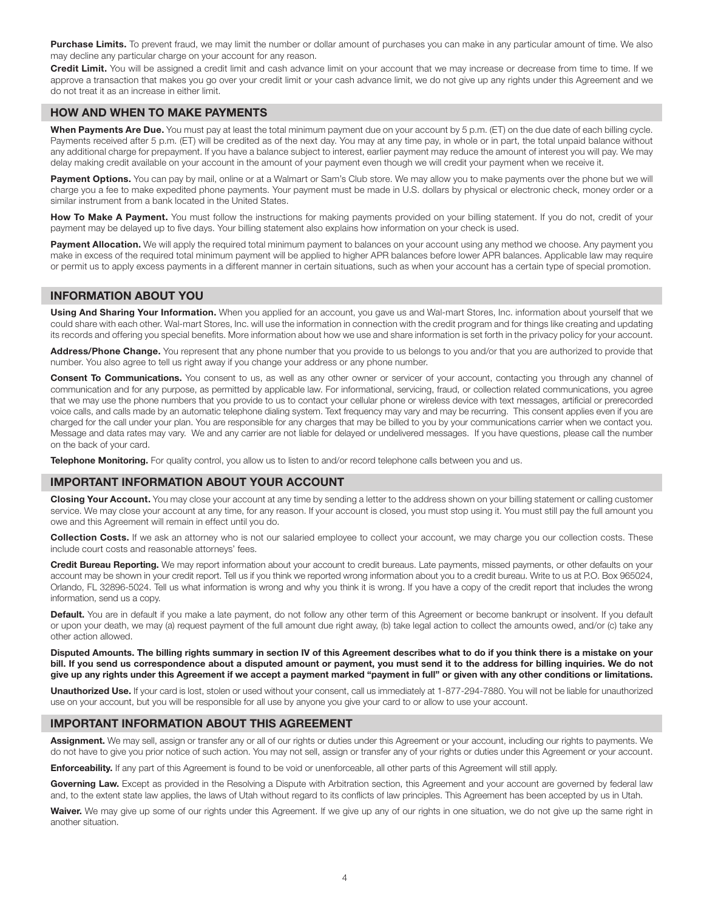Purchase Limits. To prevent fraud, we may limit the number or dollar amount of purchases you can make in any particular amount of time. We also may decline any particular charge on your account for any reason.

Credit Limit. You will be assigned a credit limit and cash advance limit on your account that we may increase or decrease from time to time. If we approve a transaction that makes you go over your credit limit or your cash advance limit, we do not give up any rights under this Agreement and we do not treat it as an increase in either limit.

### HOW AND WHEN TO MAKE PAYMENTS

When Payments Are Due. You must pay at least the total minimum payment due on your account by 5 p.m. (ET) on the due date of each billing cycle. Payments received after 5 p.m. (ET) will be credited as of the next day. You may at any time pay, in whole or in part, the total unpaid balance without any additional charge for prepayment. If you have a balance subject to interest, earlier payment may reduce the amount of interest you will pay. We may delay making credit available on your account in the amount of your payment even though we will credit your payment when we receive it.

Payment Options. You can pay by mail, online or at a Walmart or Sam's Club store. We may allow you to make payments over the phone but we will charge you a fee to make expedited phone payments. Your payment must be made in U.S. dollars by physical or electronic check, money order or a similar instrument from a bank located in the United States.

How To Make A Payment. You must follow the instructions for making payments provided on your billing statement. If you do not, credit of your payment may be delayed up to five days. Your billing statement also explains how information on your check is used.

Payment Allocation. We will apply the required total minimum payment to balances on your account using any method we choose. Any payment you make in excess of the required total minimum payment will be applied to higher APR balances before lower APR balances. Applicable law may require or permit us to apply excess payments in a different manner in certain situations, such as when your account has a certain type of special promotion.

### INFORMATION ABOUT YOU

Using And Sharing Your Information. When you applied for an account, you gave us and Wal-mart Stores, Inc. information about yourself that we could share with each other. Wal-mart Stores, Inc. will use the information in connection with the credit program and for things like creating and updating its records and offering you special benefits. More information about how we use and share information is set forth in the privacy policy for your account.

Address/Phone Change. You represent that any phone number that you provide to us belongs to you and/or that you are authorized to provide that number. You also agree to tell us right away if you change your address or any phone number.

Consent To Communications. You consent to us, as well as any other owner or servicer of your account, contacting you through any channel of communication and for any purpose, as permitted by applicable law. For informational, servicing, fraud, or collection related communications, you agree that we may use the phone numbers that you provide to us to contact your cellular phone or wireless device with text messages, artificial or prerecorded voice calls, and calls made by an automatic telephone dialing system. Text frequency may vary and may be recurring. This consent applies even if you are charged for the call under your plan. You are responsible for any charges that may be billed to you by your communications carrier when we contact you. Message and data rates may vary. We and any carrier are not liable for delayed or undelivered messages. If you have questions, please call the number on the back of your card.

Telephone Monitoring. For quality control, you allow us to listen to and/or record telephone calls between you and us.

### IMPORTANT INFORMATION ABOUT YOUR ACCOUNT

Closing Your Account. You may close your account at any time by sending a letter to the address shown on your billing statement or calling customer service. We may close your account at any time, for any reason. If your account is closed, you must stop using it. You must still pay the full amount you owe and this Agreement will remain in effect until you do.

Collection Costs. If we ask an attorney who is not our salaried employee to collect your account, we may charge you our collection costs. These include court costs and reasonable attorneys' fees.

Credit Bureau Reporting. We may report information about your account to credit bureaus. Late payments, missed payments, or other defaults on your account may be shown in your credit report. Tell us if you think we reported wrong information about you to a credit bureau. Write to us at P.O. Box 965024, Orlando, FL 32896-5024. Tell us what information is wrong and why you think it is wrong. If you have a copy of the credit report that includes the wrong information, send us a copy.

Default. You are in default if you make a late payment, do not follow any other term of this Agreement or become bankrupt or insolvent. If you default or upon your death, we may (a) request payment of the full amount due right away, (b) take legal action to collect the amounts owed, and/or (c) take any other action allowed.

Disputed Amounts. The billing rights summary in section IV of this Agreement describes what to do if you think there is a mistake on your bill. If you send us correspondence about a disputed amount or payment, you must send it to the address for billing inquiries. We do not give up any rights under this Agreement if we accept a payment marked "payment in full" or given with any other conditions or limitations.

Unauthorized Use. If your card is lost, stolen or used without your consent, call us immediately at 1-877-294-7880. You will not be liable for unauthorized use on your account, but you will be responsible for all use by anyone you give your card to or allow to use your account.

## IMPORTANT INFORMATION ABOUT THIS AGREEMENT

Assignment. We may sell, assign or transfer any or all of our rights or duties under this Agreement or your account, including our rights to payments. We do not have to give you prior notice of such action. You may not sell, assign or transfer any of your rights or duties under this Agreement or your account.

Enforceability. If any part of this Agreement is found to be void or unenforceable, all other parts of this Agreement will still apply.

Governing Law. Except as provided in the Resolving a Dispute with Arbitration section, this Agreement and your account are governed by federal law and, to the extent state law applies, the laws of Utah without regard to its conflicts of law principles. This Agreement has been accepted by us in Utah.

Waiver. We may give up some of our rights under this Agreement. If we give up any of our rights in one situation, we do not give up the same right in another situation.